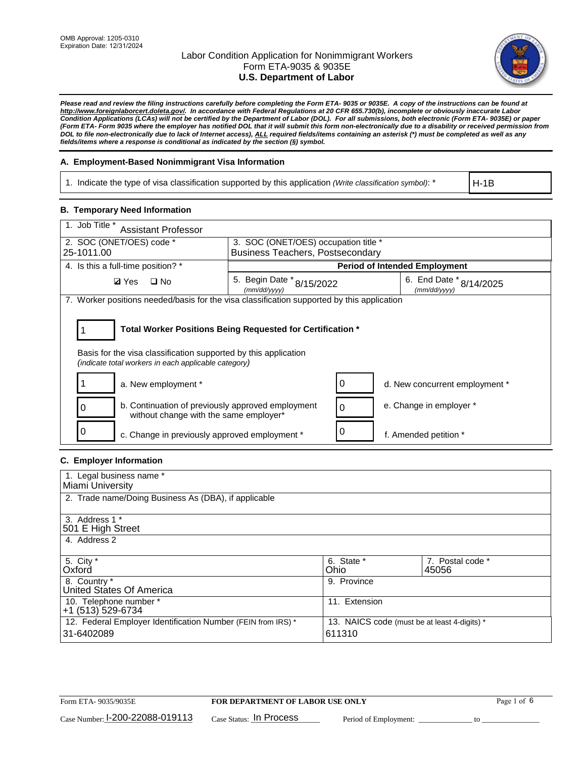

*Please read and review the filing instructions carefully before completing the Form ETA- 9035 or 9035E. A copy of the instructions can be found at [http://www.foreignlaborcert.doleta.gov/.](http://www.foreignlaborcert.doleta.gov/) In accordance with Federal Regulations at 20 CFR 655.730(b), incomplete or obviously inaccurate Labor Condition Applications (LCAs) will not be certified by the Department of Labor (DOL). For all submissions, both electronic (Form ETA- 9035E) or paper (Form ETA- Form 9035 where the employer has notified DOL that it will submit this form non-electronically due to a disability or received permission from DOL to file non-electronically due to lack of Internet access), ALL required fields/items containing an asterisk (\*) must be completed as well as any fields/items where a response is conditional as indicated by the section (§) symbol.* 

### **A. Employment-Based Nonimmigrant Visa Information**

1. Indicate the type of visa classification supported by this application *(Write classification symbol)*: \*

H-1B

#### **B. Temporary Need Information**

| 1. Job Title *<br><b>Assistant Professor</b>                                                                                                                                          |                                               |                                      |                                         |  |
|---------------------------------------------------------------------------------------------------------------------------------------------------------------------------------------|-----------------------------------------------|--------------------------------------|-----------------------------------------|--|
| 2. SOC (ONET/OES) code *                                                                                                                                                              | 3. SOC (ONET/OES) occupation title *          |                                      |                                         |  |
| 25-1011.00                                                                                                                                                                            | <b>Business Teachers, Postsecondary</b>       |                                      |                                         |  |
| 4. Is this a full-time position? *                                                                                                                                                    |                                               | <b>Period of Intended Employment</b> |                                         |  |
| <b>Ø</b> Yes<br>$\Box$ No                                                                                                                                                             | 5. Begin Date $*_{8/15/2022}$<br>(mm/dd/yyyy) |                                      | 6. End Date * 8/14/2025<br>(mm/dd/yyyy) |  |
| 7. Worker positions needed/basis for the visa classification supported by this application                                                                                            |                                               |                                      |                                         |  |
| Total Worker Positions Being Requested for Certification *<br>Basis for the visa classification supported by this application<br>(indicate total workers in each applicable category) |                                               |                                      |                                         |  |
| a. New employment *                                                                                                                                                                   |                                               |                                      | d. New concurrent employment *          |  |
| b. Continuation of previously approved employment<br>without change with the same employer*                                                                                           |                                               | $\Omega$                             | e. Change in employer *                 |  |
| 0<br>c. Change in previously approved employment *                                                                                                                                    |                                               |                                      | f. Amended petition *                   |  |

# **C. Employer Information**

| 1. Legal business name *                                                                                     |               |                  |
|--------------------------------------------------------------------------------------------------------------|---------------|------------------|
| Miami University                                                                                             |               |                  |
| 2. Trade name/Doing Business As (DBA), if applicable                                                         |               |                  |
|                                                                                                              |               |                  |
| 3. Address 1 *                                                                                               |               |                  |
| 501 E High Street                                                                                            |               |                  |
| 4. Address 2                                                                                                 |               |                  |
|                                                                                                              |               |                  |
| 5. City *                                                                                                    | 6. State *    | 7. Postal code * |
| Oxford                                                                                                       | Ohio          | 45056            |
| 8. Country *                                                                                                 | 9. Province   |                  |
| United States Of America                                                                                     |               |                  |
| 10. Telephone number *                                                                                       | 11. Extension |                  |
| +1 (513) 529-6734                                                                                            |               |                  |
| 12. Federal Employer Identification Number (FEIN from IRS) *<br>13. NAICS code (must be at least 4-digits) * |               |                  |
| 31-6402089                                                                                                   | 611310        |                  |
|                                                                                                              |               |                  |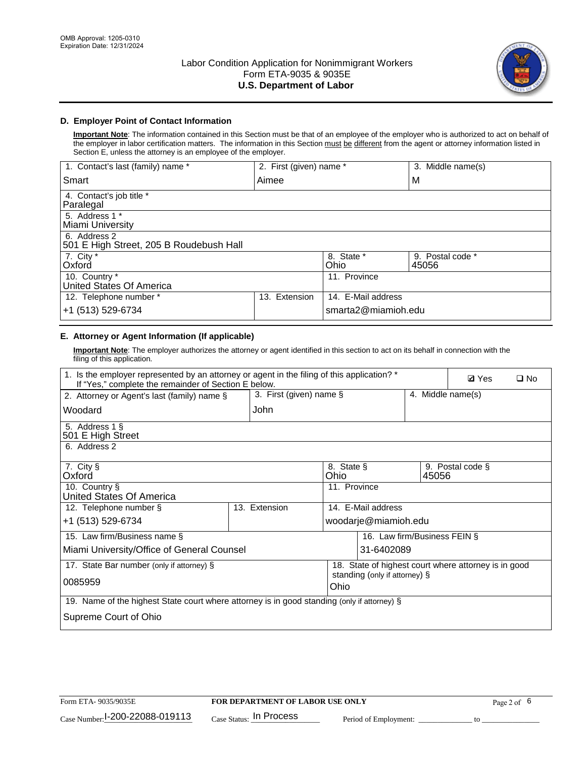

# **D. Employer Point of Contact Information**

**Important Note**: The information contained in this Section must be that of an employee of the employer who is authorized to act on behalf of the employer in labor certification matters. The information in this Section must be different from the agent or attorney information listed in Section E, unless the attorney is an employee of the employer.

| 1. Contact's last (family) name *                       | 2. First (given) name * |                     | 3. Middle name(s)         |
|---------------------------------------------------------|-------------------------|---------------------|---------------------------|
| Smart                                                   | Aimee                   |                     | M                         |
| 4. Contact's job title *<br>Paralegal                   |                         |                     |                           |
| 5. Address 1 *<br>Miami University                      |                         |                     |                           |
| 6. Address 2<br>501 E High Street, 205 B Roudebush Hall |                         |                     |                           |
| 7. City *<br>Oxford                                     |                         | 8. State *<br>Ohio  | 9. Postal code *<br>45056 |
| 10. Country *<br>United States Of America               |                         | 11. Province        |                           |
| 12. Telephone number *                                  | Extension<br>13.        | 14. E-Mail address  |                           |
| +1 (513) 529-6734                                       |                         | smarta2@miamioh.edu |                           |

# **E. Attorney or Agent Information (If applicable)**

**Important Note**: The employer authorizes the attorney or agent identified in this section to act on its behalf in connection with the filing of this application.

| 1. Is the employer represented by an attorney or agent in the filing of this application? *<br>If "Yes," complete the remainder of Section E below. |                         |                                                      |                               |                   | <b>Ø</b> Yes     | $\Box$ No |
|-----------------------------------------------------------------------------------------------------------------------------------------------------|-------------------------|------------------------------------------------------|-------------------------------|-------------------|------------------|-----------|
| 2. Attorney or Agent's last (family) name §                                                                                                         | 3. First (given) name § |                                                      |                               | 4. Middle name(s) |                  |           |
| Woodard                                                                                                                                             | John                    |                                                      |                               |                   |                  |           |
| 5. Address 1 §<br>501 E High Street                                                                                                                 |                         |                                                      |                               |                   |                  |           |
| 6. Address 2                                                                                                                                        |                         |                                                      |                               |                   |                  |           |
| 7. City §<br>Oxford                                                                                                                                 |                         | 8. State §<br>Ohio                                   |                               | 45056             | 9. Postal code § |           |
| 10. Country §<br>United States Of America                                                                                                           |                         | 11. Province                                         |                               |                   |                  |           |
| 12. Telephone number §                                                                                                                              | 13. Extension           |                                                      | 14. E-Mail address            |                   |                  |           |
| +1 (513) 529-6734                                                                                                                                   |                         |                                                      | woodarje@miamioh.edu          |                   |                  |           |
| 15. Law firm/Business name §                                                                                                                        |                         |                                                      | 16. Law firm/Business FEIN §  |                   |                  |           |
| Miami University/Office of General Counsel                                                                                                          |                         |                                                      | 31-6402089                    |                   |                  |           |
| 17. State Bar number (only if attorney) §                                                                                                           |                         | 18. State of highest court where attorney is in good |                               |                   |                  |           |
| 0085959                                                                                                                                             |                         | Ohio                                                 | standing (only if attorney) § |                   |                  |           |
| 19. Name of the highest State court where attorney is in good standing (only if attorney) §                                                         |                         |                                                      |                               |                   |                  |           |
| Supreme Court of Ohio                                                                                                                               |                         |                                                      |                               |                   |                  |           |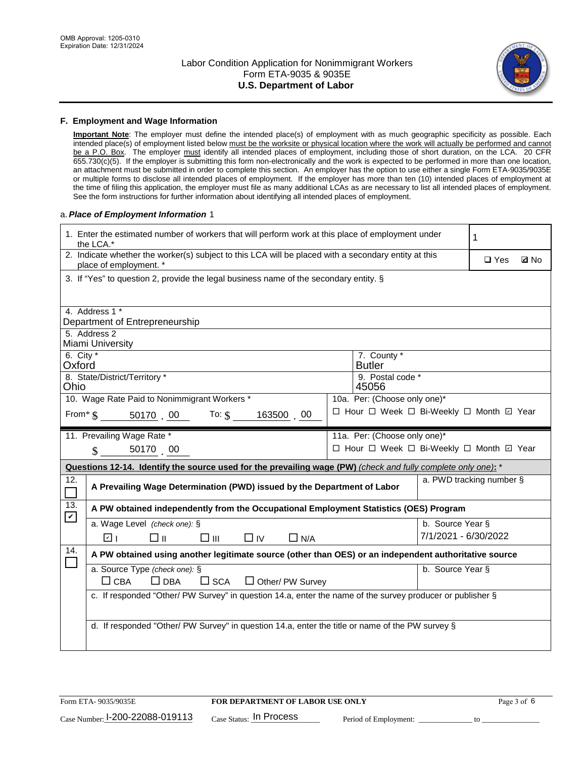

#### **F. Employment and Wage Information**

**Important Note**: The employer must define the intended place(s) of employment with as much geographic specificity as possible. Each intended place(s) of employment listed below must be the worksite or physical location where the work will actually be performed and cannot be a P.O. Box. The employer must identify all intended places of employment, including those of short duration, on the LCA. 20 CFR 655.730(c)(5). If the employer is submitting this form non-electronically and the work is expected to be performed in more than one location, an attachment must be submitted in order to complete this section. An employer has the option to use either a single Form ETA-9035/9035E or multiple forms to disclose all intended places of employment. If the employer has more than ten (10) intended places of employment at the time of filing this application, the employer must file as many additional LCAs as are necessary to list all intended places of employment. See the form instructions for further information about identifying all intended places of employment.

#### a.*Place of Employment Information* 1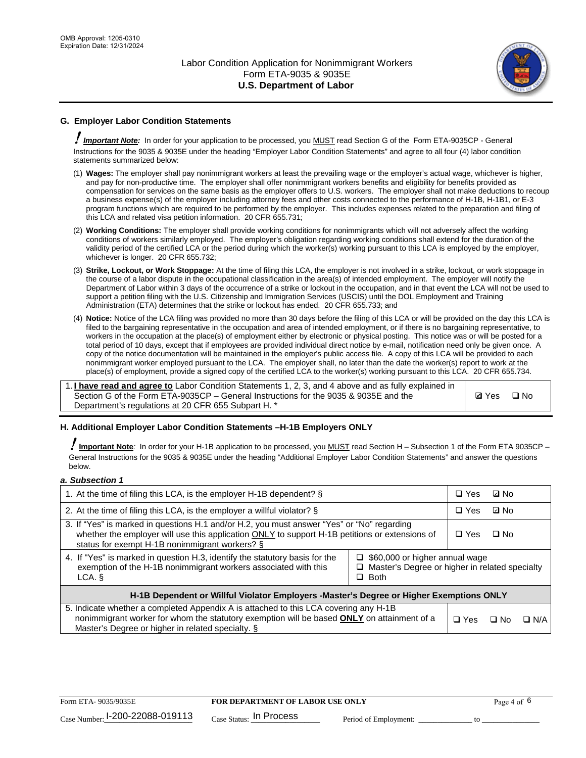

# **G. Employer Labor Condition Statements**

! *Important Note:* In order for your application to be processed, you MUST read Section G of the Form ETA-9035CP - General Instructions for the 9035 & 9035E under the heading "Employer Labor Condition Statements" and agree to all four (4) labor condition statements summarized below:

- (1) **Wages:** The employer shall pay nonimmigrant workers at least the prevailing wage or the employer's actual wage, whichever is higher, and pay for non-productive time. The employer shall offer nonimmigrant workers benefits and eligibility for benefits provided as compensation for services on the same basis as the employer offers to U.S. workers. The employer shall not make deductions to recoup a business expense(s) of the employer including attorney fees and other costs connected to the performance of H-1B, H-1B1, or E-3 program functions which are required to be performed by the employer. This includes expenses related to the preparation and filing of this LCA and related visa petition information. 20 CFR 655.731;
- (2) **Working Conditions:** The employer shall provide working conditions for nonimmigrants which will not adversely affect the working conditions of workers similarly employed. The employer's obligation regarding working conditions shall extend for the duration of the validity period of the certified LCA or the period during which the worker(s) working pursuant to this LCA is employed by the employer, whichever is longer. 20 CFR 655.732;
- (3) **Strike, Lockout, or Work Stoppage:** At the time of filing this LCA, the employer is not involved in a strike, lockout, or work stoppage in the course of a labor dispute in the occupational classification in the area(s) of intended employment. The employer will notify the Department of Labor within 3 days of the occurrence of a strike or lockout in the occupation, and in that event the LCA will not be used to support a petition filing with the U.S. Citizenship and Immigration Services (USCIS) until the DOL Employment and Training Administration (ETA) determines that the strike or lockout has ended. 20 CFR 655.733; and
- (4) **Notice:** Notice of the LCA filing was provided no more than 30 days before the filing of this LCA or will be provided on the day this LCA is filed to the bargaining representative in the occupation and area of intended employment, or if there is no bargaining representative, to workers in the occupation at the place(s) of employment either by electronic or physical posting. This notice was or will be posted for a total period of 10 days, except that if employees are provided individual direct notice by e-mail, notification need only be given once. A copy of the notice documentation will be maintained in the employer's public access file. A copy of this LCA will be provided to each nonimmigrant worker employed pursuant to the LCA. The employer shall, no later than the date the worker(s) report to work at the place(s) of employment, provide a signed copy of the certified LCA to the worker(s) working pursuant to this LCA. 20 CFR 655.734.

1. **I have read and agree to** Labor Condition Statements 1, 2, 3, and 4 above and as fully explained in Section G of the Form ETA-9035CP – General Instructions for the 9035 & 9035E and the Department's regulations at 20 CFR 655 Subpart H. \*

**Ø**Yes ロNo

### **H. Additional Employer Labor Condition Statements –H-1B Employers ONLY**

!**Important Note***:* In order for your H-1B application to be processed, you MUST read Section H – Subsection 1 of the Form ETA 9035CP – General Instructions for the 9035 & 9035E under the heading "Additional Employer Labor Condition Statements" and answer the questions below.

#### *a. Subsection 1*

| 1. At the time of filing this LCA, is the employer H-1B dependent? §                                                                                                                                                                                                    |  | $\Box$ Yes | ⊡ No      |            |
|-------------------------------------------------------------------------------------------------------------------------------------------------------------------------------------------------------------------------------------------------------------------------|--|------------|-----------|------------|
| 2. At the time of filing this LCA, is the employer a willful violator? $\S$                                                                                                                                                                                             |  | $\Box$ Yes | ⊡ No      |            |
| 3. If "Yes" is marked in questions H.1 and/or H.2, you must answer "Yes" or "No" regarding<br>whether the employer will use this application ONLY to support H-1B petitions or extensions of<br>status for exempt H-1B nonimmigrant workers? §                          |  | $\Box$ Yes | $\Box$ No |            |
| 4. If "Yes" is marked in question H.3, identify the statutory basis for the<br>$\Box$ \$60,000 or higher annual wage<br>exemption of the H-1B nonimmigrant workers associated with this<br>$\Box$ Master's Degree or higher in related specialty<br>$\Box$ Both<br>LCA. |  |            |           |            |
| H-1B Dependent or Willful Violator Employers -Master's Degree or Higher Exemptions ONLY                                                                                                                                                                                 |  |            |           |            |
| 5. Indicate whether a completed Appendix A is attached to this LCA covering any H-1B<br>nonimmigrant worker for whom the statutory exemption will be based <b>ONLY</b> on attainment of a<br>Master's Degree or higher in related specialty. §                          |  | $\Box$ Yes | ⊡ No      | $\Box$ N/A |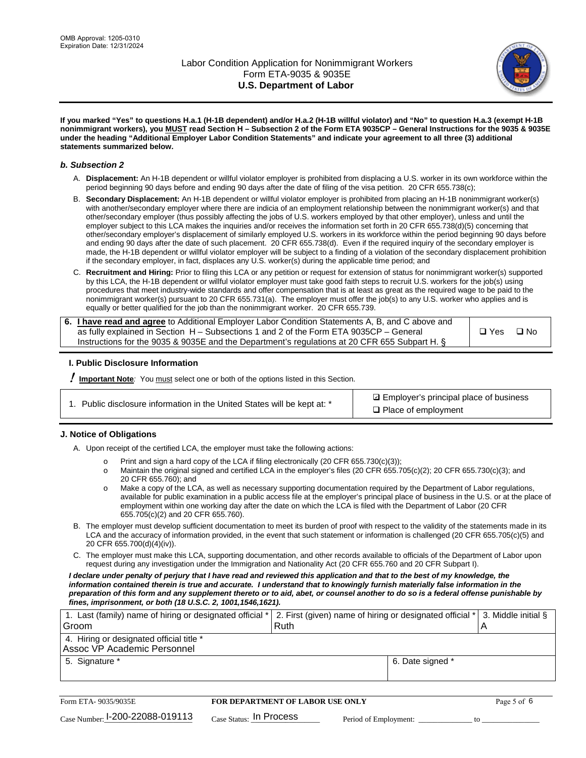

**If you marked "Yes" to questions H.a.1 (H-1B dependent) and/or H.a.2 (H-1B willful violator) and "No" to question H.a.3 (exempt H-1B nonimmigrant workers), you MUST read Section H – Subsection 2 of the Form ETA 9035CP – General Instructions for the 9035 & 9035E under the heading "Additional Employer Labor Condition Statements" and indicate your agreement to all three (3) additional statements summarized below.**

#### *b. Subsection 2*

- A. **Displacement:** An H-1B dependent or willful violator employer is prohibited from displacing a U.S. worker in its own workforce within the period beginning 90 days before and ending 90 days after the date of filing of the visa petition. 20 CFR 655.738(c);
- B. **Secondary Displacement:** An H-1B dependent or willful violator employer is prohibited from placing an H-1B nonimmigrant worker(s) with another/secondary employer where there are indicia of an employment relationship between the nonimmigrant worker(s) and that other/secondary employer (thus possibly affecting the jobs of U.S. workers employed by that other employer), unless and until the employer subject to this LCA makes the inquiries and/or receives the information set forth in 20 CFR 655.738(d)(5) concerning that other/secondary employer's displacement of similarly employed U.S. workers in its workforce within the period beginning 90 days before and ending 90 days after the date of such placement. 20 CFR 655.738(d). Even if the required inquiry of the secondary employer is made, the H-1B dependent or willful violator employer will be subject to a finding of a violation of the secondary displacement prohibition if the secondary employer, in fact, displaces any U.S. worker(s) during the applicable time period; and
- C. **Recruitment and Hiring:** Prior to filing this LCA or any petition or request for extension of status for nonimmigrant worker(s) supported by this LCA, the H-1B dependent or willful violator employer must take good faith steps to recruit U.S. workers for the job(s) using procedures that meet industry-wide standards and offer compensation that is at least as great as the required wage to be paid to the nonimmigrant worker(s) pursuant to 20 CFR 655.731(a). The employer must offer the job(s) to any U.S. worker who applies and is equally or better qualified for the job than the nonimmigrant worker. 20 CFR 655.739.

| 6. I have read and agree to Additional Employer Labor Condition Statements A, B, and C above and |       |           |
|--------------------------------------------------------------------------------------------------|-------|-----------|
| as fully explained in Section H – Subsections 1 and 2 of the Form ETA 9035CP – General           | □ Yes | $\Box$ No |
| Instructions for the 9035 & 9035 E and the Department's regulations at 20 CFR 655 Subpart H. §   |       |           |

### **I. Public Disclosure Information**

! **Important Note***:* You must select one or both of the options listed in this Section.

**sqrt** Employer's principal place of business □ Place of employment

### **J. Notice of Obligations**

A. Upon receipt of the certified LCA, the employer must take the following actions:

- o Print and sign a hard copy of the LCA if filing electronically (20 CFR 655.730(c)(3));<br>
Maintain the original signed and certified LCA in the employer's files (20 CFR 655.7
- Maintain the original signed and certified LCA in the employer's files (20 CFR 655.705(c)(2); 20 CFR 655.730(c)(3); and 20 CFR 655.760); and
- o Make a copy of the LCA, as well as necessary supporting documentation required by the Department of Labor regulations, available for public examination in a public access file at the employer's principal place of business in the U.S. or at the place of employment within one working day after the date on which the LCA is filed with the Department of Labor (20 CFR 655.705(c)(2) and 20 CFR 655.760).
- B. The employer must develop sufficient documentation to meet its burden of proof with respect to the validity of the statements made in its LCA and the accuracy of information provided, in the event that such statement or information is challenged (20 CFR 655.705(c)(5) and 20 CFR 655.700(d)(4)(iv)).
- C. The employer must make this LCA, supporting documentation, and other records available to officials of the Department of Labor upon request during any investigation under the Immigration and Nationality Act (20 CFR 655.760 and 20 CFR Subpart I).

*I declare under penalty of perjury that I have read and reviewed this application and that to the best of my knowledge, the*  information contained therein is true and accurate. I understand that to knowingly furnish materially false information in the *preparation of this form and any supplement thereto or to aid, abet, or counsel another to do so is a federal offense punishable by fines, imprisonment, or both (18 U.S.C. 2, 1001,1546,1621).*

| 1. Last (family) name of hiring or designated official * 2. First (given) name of hiring or designated official * 3. Middle initial § |      |                  |  |
|---------------------------------------------------------------------------------------------------------------------------------------|------|------------------|--|
| Groom                                                                                                                                 | Ruth |                  |  |
| 4. Hiring or designated official title *                                                                                              |      |                  |  |
| Assoc VP Academic Personnel                                                                                                           |      |                  |  |
| 5. Signature *                                                                                                                        |      | 6. Date signed * |  |
|                                                                                                                                       |      |                  |  |

| Form ETA-9035/9035E                         | <b>FOR DEPARTMENT OF LABOR USE ONLY</b> |                       | Page 5 of 6 |
|---------------------------------------------|-----------------------------------------|-----------------------|-------------|
| $_{\text{Case Number:}}$ I-200-22088-019113 | $_{\text{Case Status:}}$ In Process     | Period of Employment: |             |